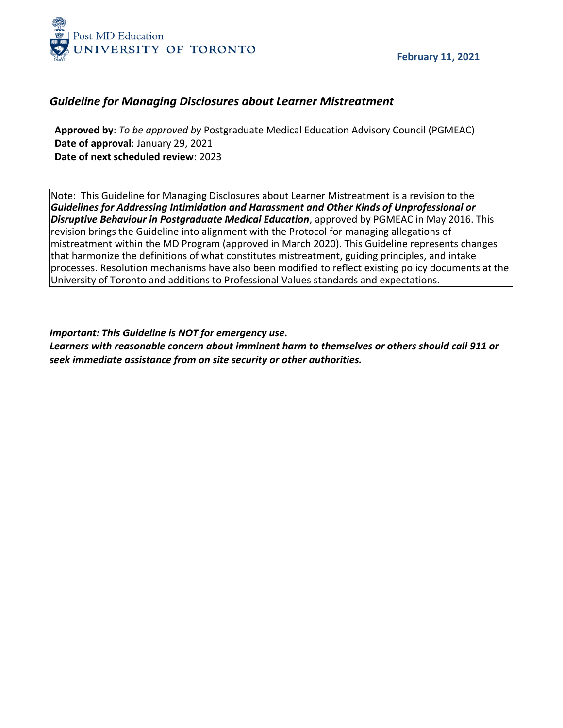

### *Guideline for Managing Disclosures about Learner Mistreatment*

**Approved by**: *To be approved by* Postgraduate Medical Education Advisory Council (PGMEAC) **Date of approval**: January 29, 2021 **Date of next scheduled review**: 2023

Note: This Guideline for Managing Disclosures about Learner Mistreatment is a revision to the *Guidelines for Addressing Intimidation and Harassment and Other Kinds of Unprofessional or Disruptive Behaviour in Postgraduate Medical Education*, approved by PGMEAC in May 2016. This revision brings the Guideline into alignment with the Protocol for managing allegations of mistreatment within the MD Program (approved in March 2020). This Guideline represents changes that harmonize the definitions of what constitutes mistreatment, guiding principles, and intake processes. Resolution mechanisms have also been modified to reflect existing policy documents at the University of Toronto and additions to Professional Values standards and expectations.

#### *Important: This Guideline is NOT for emergency use.*

*Learners with reasonable concern about imminent harm to themselves or others should call 911 or seek immediate assistance from on site security or other authorities.*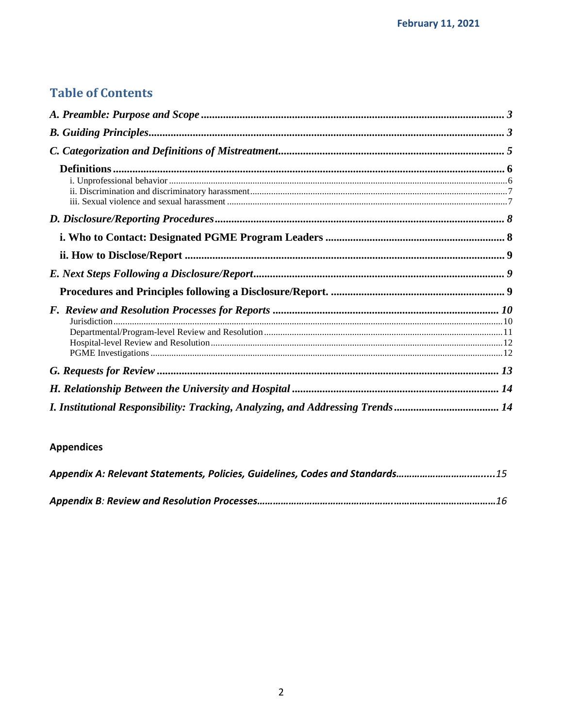# **Table of Contents**

| I. Institutional Responsibility: Tracking, Analyzing, and Addressing Trends  14 |  |
|---------------------------------------------------------------------------------|--|

## **Appendices**

| Appendix A: Relevant Statements, Policies, Guidelines, Codes and Standards15 |  |
|------------------------------------------------------------------------------|--|
|                                                                              |  |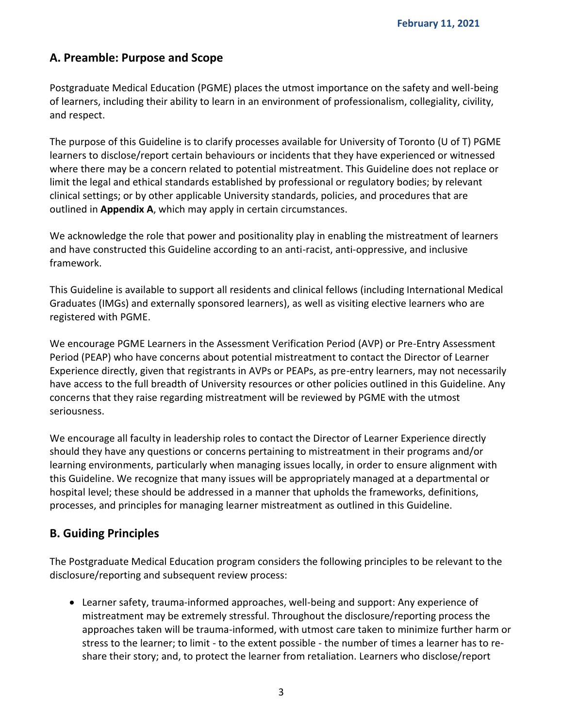### <span id="page-2-0"></span>**A. Preamble: Purpose and Scope**

Postgraduate Medical Education (PGME) places the utmost importance on the safety and well-being of learners, including their ability to learn in an environment of professionalism, collegiality, civility, and respect.

The purpose of this Guideline is to clarify processes available for University of Toronto (U of T) PGME learners to disclose/report certain behaviours or incidents that they have experienced or witnessed where there may be a concern related to potential mistreatment. This Guideline does not replace or limit the legal and ethical standards established by professional or regulatory bodies; by relevant clinical settings; or by other applicable University standards, policies, and procedures that are outlined in **Appendix A**, which may apply in certain circumstances.

We acknowledge the role that power and positionality play in enabling the mistreatment of learners and have constructed this Guideline according to an anti-racist, anti-oppressive, and inclusive framework.

This Guideline is available to support all residents and clinical fellows (including International Medical Graduates (IMGs) and externally sponsored learners), as well as visiting elective learners who are registered with PGME.

We encourage PGME Learners in the Assessment Verification Period (AVP) or Pre-Entry Assessment Period (PEAP) who have concerns about potential mistreatment to contact the Director of Learner Experience directly, given that registrants in AVPs or PEAPs, as pre-entry learners, may not necessarily have access to the full breadth of University resources or other policies outlined in this Guideline. Any concerns that they raise regarding mistreatment will be reviewed by PGME with the utmost seriousness.

We encourage all faculty in leadership roles to contact the Director of Learner Experience directly should they have any questions or concerns pertaining to mistreatment in their programs and/or learning environments, particularly when managing issues locally, in order to ensure alignment with this Guideline. We recognize that many issues will be appropriately managed at a departmental or hospital level; these should be addressed in a manner that upholds the frameworks, definitions, processes, and principles for managing learner mistreatment as outlined in this Guideline.

## <span id="page-2-1"></span>**B. Guiding Principles**

The Postgraduate Medical Education program considers the following principles to be relevant to the disclosure/reporting and subsequent review process:

 Learner safety, trauma-informed approaches, well-being and support: Any experience of mistreatment may be extremely stressful. Throughout the disclosure/reporting process the approaches taken will be trauma-informed, with utmost care taken to minimize further harm or stress to the learner; to limit - to the extent possible - the number of times a learner has to reshare their story; and, to protect the learner from retaliation. Learners who disclose/report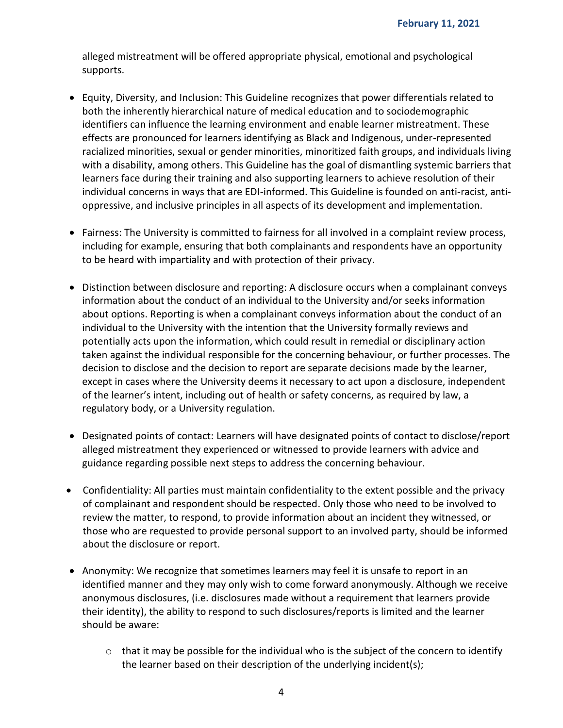alleged mistreatment will be offered appropriate physical, emotional and psychological supports.

- Equity, Diversity, and Inclusion: This Guideline recognizes that power differentials related to both the inherently hierarchical nature of medical education and to sociodemographic identifiers can influence the learning environment and enable learner mistreatment. These effects are pronounced for learners identifying as Black and Indigenous, under-represented racialized minorities, sexual or gender minorities, minoritized faith groups, and individuals living with a disability, among others. This Guideline has the goal of dismantling systemic barriers that learners face during their training and also supporting learners to achieve resolution of their individual concerns in ways that are EDI-informed. This Guideline is founded on anti-racist, antioppressive, and inclusive principles in all aspects of its development and implementation.
- Fairness: The University is committed to fairness for all involved in a complaint review process, including for example, ensuring that both complainants and respondents have an opportunity to be heard with impartiality and with protection of their privacy.
- Distinction between disclosure and reporting: A disclosure occurs when a complainant conveys information about the conduct of an individual to the University and/or seeks information about options. Reporting is when a complainant conveys information about the conduct of an individual to the University with the intention that the University formally reviews and potentially acts upon the information, which could result in remedial or disciplinary action taken against the individual responsible for the concerning behaviour, or further processes. The decision to disclose and the decision to report are separate decisions made by the learner, except in cases where the University deems it necessary to act upon a disclosure, independent of the learner's intent, including out of health or safety concerns, as required by law, a regulatory body, or a University regulation.
- Designated points of contact: Learners will have designated points of contact to disclose/report alleged mistreatment they experienced or witnessed to provide learners with advice and guidance regarding possible next steps to address the concerning behaviour.
- Confidentiality: All parties must maintain confidentiality to the extent possible and the privacy of complainant and respondent should be respected. Only those who need to be involved to review the matter, to respond, to provide information about an incident they witnessed, or those who are requested to provide personal support to an involved party, should be informed about the disclosure or report.
- Anonymity: We recognize that sometimes learners may feel it is unsafe to report in an identified manner and they may only wish to come forward anonymously. Although we receive anonymous disclosures, (i.e. disclosures made without a requirement that learners provide their identity), the ability to respond to such disclosures/reports is limited and the learner should be aware:
	- $\circ$  that it may be possible for the individual who is the subject of the concern to identify the learner based on their description of the underlying incident(s);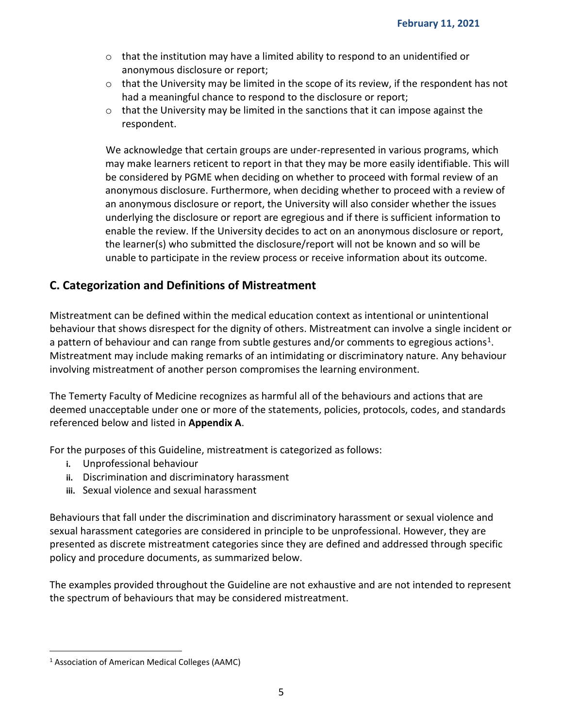- $\circ$  that the institution may have a limited ability to respond to an unidentified or anonymous disclosure or report;
- $\circ$  that the University may be limited in the scope of its review, if the respondent has not had a meaningful chance to respond to the disclosure or report;
- $\circ$  that the University may be limited in the sanctions that it can impose against the respondent.

We acknowledge that certain groups are under-represented in various programs, which may make learners reticent to report in that they may be more easily identifiable. This will be considered by PGME when deciding on whether to proceed with formal review of an anonymous disclosure. Furthermore, when deciding whether to proceed with a review of an anonymous disclosure or report, the University will also consider whether the issues underlying the disclosure or report are egregious and if there is sufficient information to enable the review. If the University decides to act on an anonymous disclosure or report, the learner(s) who submitted the disclosure/report will not be known and so will be unable to participate in the review process or receive information about its outcome.

### <span id="page-4-0"></span>**C. Categorization and Definitions of Mistreatment**

Mistreatment can be defined within the medical education context as intentional or unintentional behaviour that shows disrespect for the dignity of others. Mistreatment can involve a single incident or a pattern of behaviour and can range from subtle gestures and/or comments to egregious actions<sup>1</sup>. Mistreatment may include making remarks of an intimidating or discriminatory nature. Any behaviour involving mistreatment of another person compromises the learning environment.

The Temerty Faculty of Medicine recognizes as harmful all of the behaviours and actions that are deemed unacceptable under one or more of the statements, policies, protocols, codes, and standards referenced below and listed in **Appendix A**.

For the purposes of this Guideline, mistreatment is categorized as follows:

- **i.** Unprofessional behaviour
- **ii.** Discrimination and discriminatory harassment
- **iii.** Sexual violence and sexual harassment

Behaviours that fall under the discrimination and discriminatory harassment or sexual violence and sexual harassment categories are considered in principle to be unprofessional. However, they are presented as discrete mistreatment categories since they are defined and addressed through specific policy and procedure documents, as summarized below.

The examples provided throughout the Guideline are not exhaustive and are not intended to represent the spectrum of behaviours that may be considered mistreatment.

 $\overline{a}$ 

<sup>1</sup> Association of American Medical Colleges (AAMC)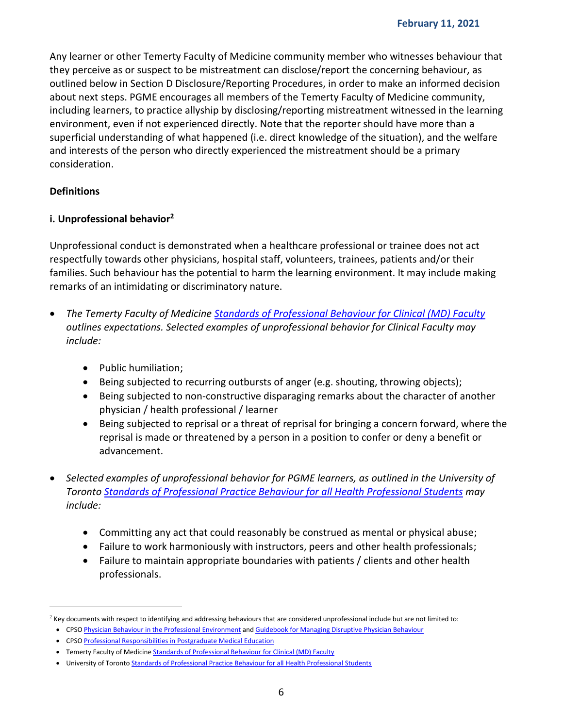Any learner or other Temerty Faculty of Medicine community member who witnesses behaviour that they perceive as or suspect to be mistreatment can disclose/report the concerning behaviour, as outlined below in Section D Disclosure/Reporting Procedures, in order to make an informed decision about next steps. PGME encourages all members of the Temerty Faculty of Medicine community, including learners, to practice allyship by disclosing/reporting mistreatment witnessed in the learning environment, even if not experienced directly. Note that the reporter should have more than a superficial understanding of what happened (i.e. direct knowledge of the situation), and the welfare and interests of the person who directly experienced the mistreatment should be a primary consideration.

### <span id="page-5-0"></span>**Definitions**

 $\overline{a}$ 

### <span id="page-5-1"></span>**i. Unprofessional behavior<sup>2</sup>**

Unprofessional conduct is demonstrated when a healthcare professional or trainee does not act respectfully towards other physicians, hospital staff, volunteers, trainees, patients and/or their families. Such behaviour has the potential to harm the learning environment. It may include making remarks of an intimidating or discriminatory nature.

- *The Temerty Faculty of Medicine [Standards of Professional Behaviour for Clinical \(MD\) Faculty](https://medicine.utoronto.ca/sites/default/files/standardsofprofessionalbehaviourformedicalclinicalfaculty-05132020.pdf) outlines expectations. Selected examples of unprofessional behavior for Clinical Faculty may include:*
	- Public humiliation;
	- Being subjected to recurring outbursts of anger (e.g. shouting, throwing objects);
	- Being subjected to non-constructive disparaging remarks about the character of another physician / health professional / learner
	- Being subjected to reprisal or a threat of reprisal for bringing a concern forward, where the reprisal is made or threatened by a person in a position to confer or deny a benefit or advancement.
- *Selected examples of unprofessional behavior for PGME learners, as outlined in the University of Toronto [Standards of Professional Practice Behaviour for all Health Professional Students](http://www.governingcouncil.utoronto.ca/Assets/Governing+Council+Digital+Assets/Policies/PDF/ppsep012008i.pdf) may include:*
	- Committing any act that could reasonably be construed as mental or physical abuse;
	- Failure to work harmoniously with instructors, peers and other health professionals;
	- Failure to maintain appropriate boundaries with patients / clients and other health professionals.

 $2$  Key documents with respect to identifying and addressing behaviours that are considered unprofessional include but are not limited to:

CPS[O Physician Behaviour in the Professional Environment](https://www.cpso.on.ca/Physicians/Policies-Guidance/Policies/Physician-Behaviour-in-the-Professional-Environmen) an[d Guidebook for Managing Disruptive Physician Behaviour](http://www.docsmbwellness.org/wp-content/uploads/2014/08/Disruptive_Behaviour_GuidebookCPSO.pdf)

CPS[O Professional Responsibilities in Postgraduate Medical Education](https://www.cpso.on.ca/Physicians/Policies-Guidance/Policies/Professional-Responsibilities-in-Medical-Education)

<sup>•</sup> Temerty Faculty of Medicin[e Standards of Professional Behaviour for Clinical \(MD\) Faculty](https://medicine.utoronto.ca/sites/default/files/standardsofprofessionalbehaviourformedicalclinicalfaculty-05132020.pdf)

<sup>•</sup> University of Toront[o Standards of Professional Practice Behaviour for all Health Professional Students](http://www.governingcouncil.utoronto.ca/Assets/Governing+Council+Digital+Assets/Policies/PDF/ppsep012008i.pdf)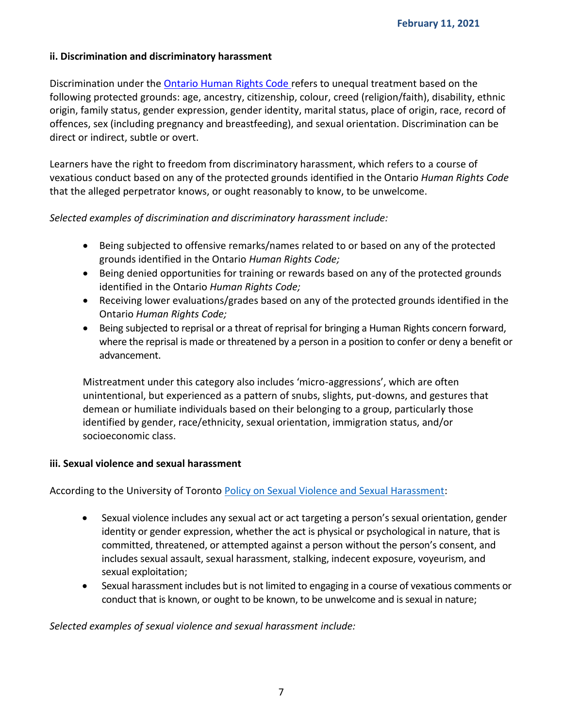### <span id="page-6-0"></span>**ii. Discrimination and discriminatory harassment**

Discrimination under the [Ontario Human Rights Code](http://www.ohrc.on.ca/en/ontario-human-rights-code) refers to unequal treatment based on the following protected grounds: age, ancestry, citizenship, colour, creed (religion/faith), disability, ethnic origin, family status, gender expression, gender identity, marital status, place of origin, race, record of offences, sex (including pregnancy and breastfeeding), and sexual orientation. Discrimination can be direct or indirect, subtle or overt.

Learners have the right to freedom from discriminatory harassment, which refers to a course of vexatious conduct based on any of the protected grounds identified in the Ontario *Human Rights Code*  that the alleged perpetrator knows, or ought reasonably to know, to be unwelcome.

### *Selected examples of discrimination and discriminatory harassment include:*

- Being subjected to offensive remarks/names related to or based on any of the protected grounds identified in the Ontario *Human Rights Code;*
- Being denied opportunities for training or rewards based on any of the protected grounds identified in the Ontario *Human Rights Code;*
- Receiving lower evaluations/grades based on any of the protected grounds identified in the Ontario *Human Rights Code;*
- Being subjected to reprisal or a threat of reprisal for bringing a Human Rights concern forward, where the reprisal is made or threatened by a person in a position to confer or deny a benefit or advancement.

Mistreatment under this category also includes 'micro-aggressions', which are often unintentional, but experienced as a pattern of snubs, slights, put-downs, and gestures that demean or humiliate individuals based on their belonging to a group, particularly those identified by gender, race/ethnicity, sexual orientation, immigration status, and/or socioeconomic class.

#### <span id="page-6-1"></span>**iii. Sexual violence and sexual harassment**

According to the University of Toronto [Policy on Sexual Violence and Sexual Harassment:](https://governingcouncil.utoronto.ca/secretariat/policies/sexual-violence-and-sexual-harassment-policy-december-15-2016)

- Sexual violence includes any sexual act or act targeting a person's sexual orientation, gender identity or gender expression, whether the act is physical or psychological in nature, that is committed, threatened, or attempted against a person without the person's consent, and includes sexual assault, sexual harassment, stalking, indecent exposure, voyeurism, and sexual exploitation;
- Sexual harassment includes but is not limited to engaging in a course of vexatious comments or conduct that is known, or ought to be known, to be unwelcome and is sexual in nature;

*Selected examples of sexual violence and sexual harassment include:*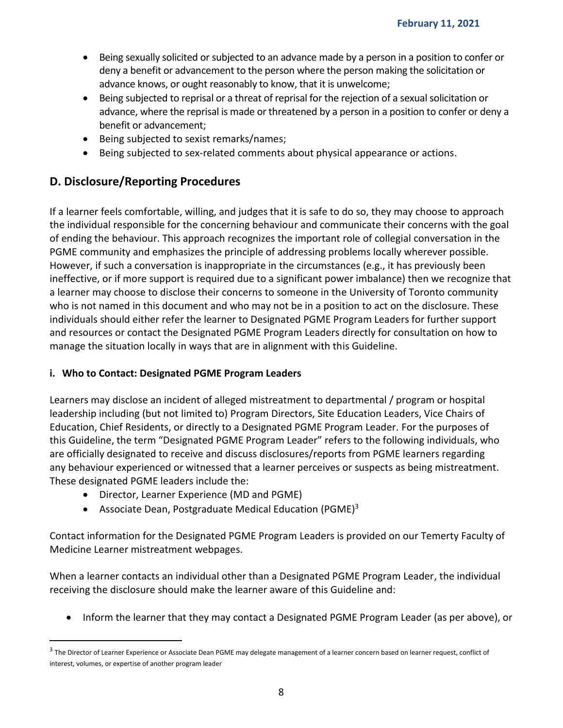- Being sexually solicited or subjected to an advance made by a person in a position to confer or deny a benefit or advancement to the person where the person making the solicitation or advance knows, or ought reasonably to know, that it is unwelcome;
- Being subjected to reprisal or a threat of reprisal for the rejection of a sexual solicitation or advance, where the reprisal is made or threatened by a person in a position to confer or deny a benefit or advancement;
- Being subjected to sexist remarks/names;
- Being subjected to sex-related comments about physical appearance or actions.

## <span id="page-7-0"></span>**D. Disclosure/Reporting Procedures**

If a learner feels comfortable, willing, and judges that it is safe to do so, they may choose to approach the individual responsible for the concerning behaviour and communicate their concerns with the goal of ending the behaviour. This approach recognizes the important role of collegial conversation in the PGME community and emphasizes the principle of addressing problems locally wherever possible. However, if such a conversation is inappropriate in the circumstances (e.g., it has previously been ineffective, or if more support is required due to a significant power imbalance) then we recognize that a learner may choose to disclose their concerns to someone in the University of Toronto community who is not named in this document and who may not be in a position to act on the disclosure. These individuals should either refer the learner to Designated PGME Program Leaders for further support and resources or contact the Designated PGME Program Leaders directly for consultation on how to manage the situation locally in ways that are in alignment with this Guideline.

### <span id="page-7-1"></span>**i. Who to Contact: Designated PGME Program Leaders**

Learners may disclose an incident of alleged mistreatment to departmental / program or hospital leadership including (but not limited to) Program Directors, Site Education Leaders, Vice Chairs of Education, Chief Residents, or directly to a Designated PGME Program Leader. For the purposes of this Guideline, the term "Designated PGME Program Leader" refers to the following individuals, who are officially designated to receive and discuss disclosures/reports from PGME learners regarding any behaviour experienced or witnessed that a learner perceives or suspects as being mistreatment. These designated PGME leaders include the:

Director, Learner Experience (MD and PGME)

 $\overline{a}$ 

Associate Dean, Postgraduate Medical Education (PGME)<sup>3</sup>

Contact information for the Designated PGME Program Leaders is provided on our Temerty Faculty of Medicine Learner mistreatment webpages.

When a learner contacts an individual other than a Designated PGME Program Leader, the individual receiving the disclosure should make the learner aware of this Guideline and:

Inform the learner that they may contact a Designated PGME Program Leader (as per above), or

 $^3$  The Director of Learner Experience or Associate Dean PGME may delegate management of a learner concern based on learner request, conflict of interest, volumes, or expertise of another program leader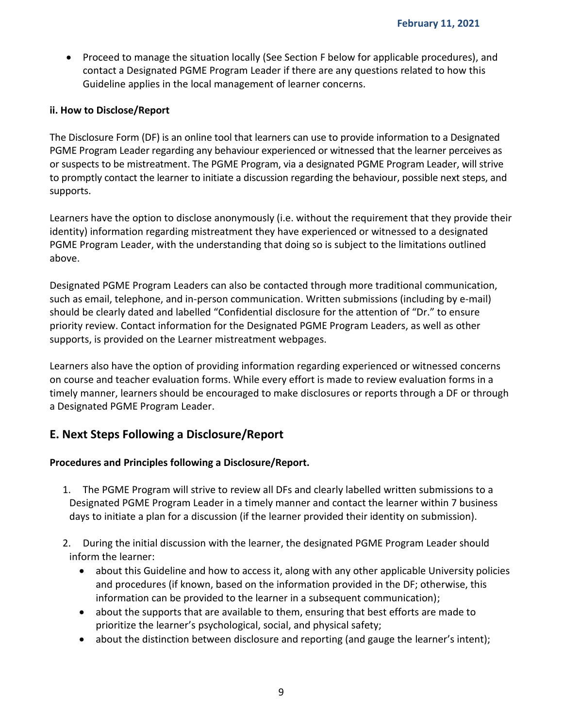• Proceed to manage the situation locally (See Section F below for applicable procedures), and contact a Designated PGME Program Leader if there are any questions related to how this Guideline applies in the local management of learner concerns.

#### <span id="page-8-0"></span>**ii. How to Disclose/Report**

The Disclosure Form (DF) is an online tool that learners can use to provide information to a Designated PGME Program Leader regarding any behaviour experienced or witnessed that the learner perceives as or suspects to be mistreatment. The PGME Program, via a designated PGME Program Leader, will strive to promptly contact the learner to initiate a discussion regarding the behaviour, possible next steps, and supports.

Learners have the option to disclose anonymously (i.e. without the requirement that they provide their identity) information regarding mistreatment they have experienced or witnessed to a designated PGME Program Leader, with the understanding that doing so is subject to the limitations outlined above.

Designated PGME Program Leaders can also be contacted through more traditional communication, such as email, telephone, and in-person communication. Written submissions (including by e-mail) should be clearly dated and labelled "Confidential disclosure for the attention of "Dr." to ensure priority review. Contact information for the Designated PGME Program Leaders, as well as other supports, is provided on the Learner mistreatment webpages.

Learners also have the option of providing information regarding experienced or witnessed concerns on course and teacher evaluation forms. While every effort is made to review evaluation forms in a timely manner, learners should be encouraged to make disclosures or reports through a DF or through a Designated PGME Program Leader.

## <span id="page-8-1"></span>**E. Next Steps Following a Disclosure/Report**

### <span id="page-8-2"></span>**Procedures and Principles following a Disclosure/Report.**

- 1. The PGME Program will strive to review all DFs and clearly labelled written submissions to a Designated PGME Program Leader in a timely manner and contact the learner within 7 business days to initiate a plan for a discussion (if the learner provided their identity on submission).
- 2. During the initial discussion with the learner, the designated PGME Program Leader should inform the learner:
	- about this Guideline and how to access it, along with any other applicable University policies and procedures (if known, based on the information provided in the DF; otherwise, this information can be provided to the learner in a subsequent communication);
	- about the supports that are available to them, ensuring that best efforts are made to prioritize the learner's psychological, social, and physical safety;
	- about the distinction between disclosure and reporting (and gauge the learner's intent);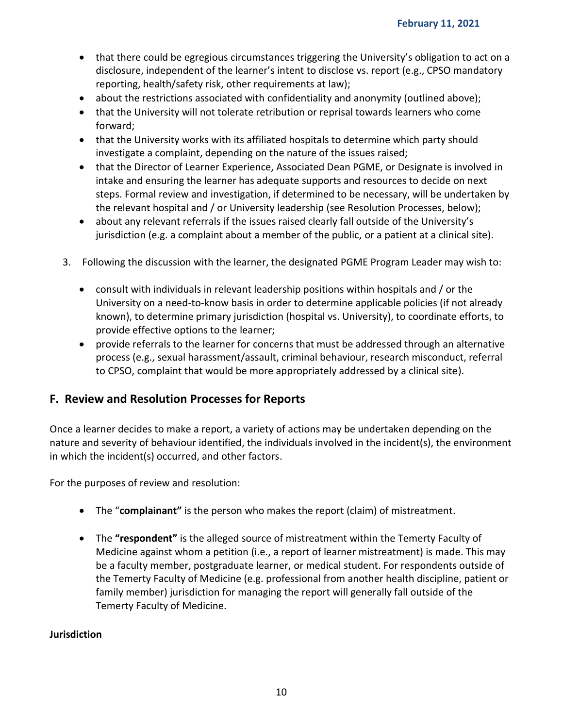- that there could be egregious circumstances triggering the University's obligation to act on a disclosure, independent of the learner's intent to disclose vs. report (e.g., CPSO mandatory reporting, health/safety risk, other requirements at law);
- about the restrictions associated with confidentiality and anonymity (outlined above);
- that the University will not tolerate retribution or reprisal towards learners who come forward;
- that the University works with its affiliated hospitals to determine which party should investigate a complaint, depending on the nature of the issues raised;
- that the Director of Learner Experience, Associated Dean PGME, or Designate is involved in intake and ensuring the learner has adequate supports and resources to decide on next steps. Formal review and investigation, if determined to be necessary, will be undertaken by the relevant hospital and / or University leadership (see Resolution Processes, below);
- about any relevant referrals if the issues raised clearly fall outside of the University's jurisdiction (e.g. a complaint about a member of the public, or a patient at a clinical site).
- 3. Following the discussion with the learner, the designated PGME Program Leader may wish to:
	- consult with individuals in relevant leadership positions within hospitals and / or the University on a need-to-know basis in order to determine applicable policies (if not already known), to determine primary jurisdiction (hospital vs. University), to coordinate efforts, to provide effective options to the learner;
	- provide referrals to the learner for concerns that must be addressed through an alternative process (e.g., sexual harassment/assault, criminal behaviour, research misconduct, referral to CPSO, complaint that would be more appropriately addressed by a clinical site).

### <span id="page-9-0"></span>**F. Review and Resolution Processes for Reports**

Once a learner decides to make a report, a variety of actions may be undertaken depending on the nature and severity of behaviour identified, the individuals involved in the incident(s), the environment in which the incident(s) occurred, and other factors.

For the purposes of review and resolution:

- The "**complainant"** is the person who makes the report (claim) of mistreatment.
- The **"respondent"** is the alleged source of mistreatment within the Temerty Faculty of Medicine against whom a petition (i.e., a report of learner mistreatment) is made. This may be a faculty member, postgraduate learner, or medical student. For respondents outside of the Temerty Faculty of Medicine (e.g. professional from another health discipline, patient or family member) jurisdiction for managing the report will generally fall outside of the Temerty Faculty of Medicine.

#### <span id="page-9-1"></span>**Jurisdiction**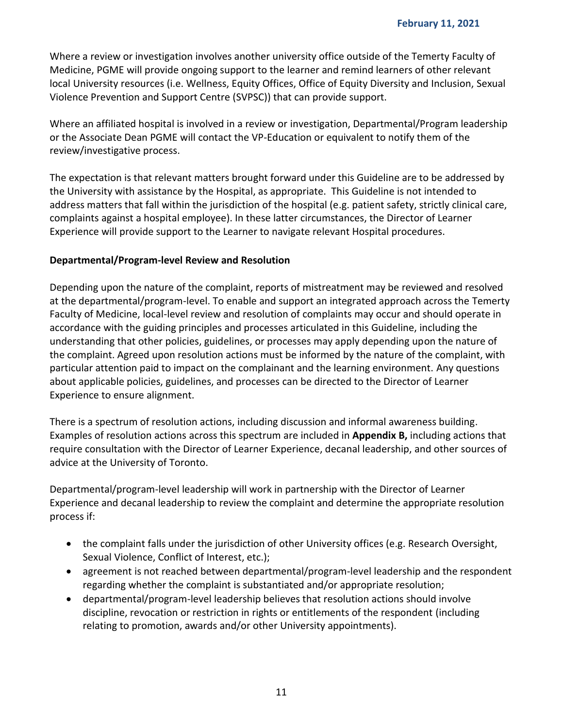Where a review or investigation involves another university office outside of the Temerty Faculty of Medicine, PGME will provide ongoing support to the learner and remind learners of other relevant local University resources (i.e. Wellness, Equity Offices, Office of Equity Diversity and Inclusion, Sexual Violence Prevention and Support Centre (SVPSC)) that can provide support.

Where an affiliated hospital is involved in a review or investigation, Departmental/Program leadership or the Associate Dean PGME will contact the VP-Education or equivalent to notify them of the review/investigative process.

The expectation is that relevant matters brought forward under this Guideline are to be addressed by the University with assistance by the Hospital, as appropriate. This Guideline is not intended to address matters that fall within the jurisdiction of the hospital (e.g. patient safety, strictly clinical care, complaints against a hospital employee). In these latter circumstances, the Director of Learner Experience will provide support to the Learner to navigate relevant Hospital procedures.

### <span id="page-10-0"></span>**Departmental/Program-level Review and Resolution**

Depending upon the nature of the complaint, reports of mistreatment may be reviewed and resolved at the departmental/program-level. To enable and support an integrated approach across the Temerty Faculty of Medicine, local-level review and resolution of complaints may occur and should operate in accordance with the guiding principles and processes articulated in this Guideline, including the understanding that other policies, guidelines, or processes may apply depending upon the nature of the complaint. Agreed upon resolution actions must be informed by the nature of the complaint, with particular attention paid to impact on the complainant and the learning environment. Any questions about applicable policies, guidelines, and processes can be directed to the Director of Learner Experience to ensure alignment.

There is a spectrum of resolution actions, including discussion and informal awareness building. Examples of resolution actions across this spectrum are included in **Appendix B,** including actions that require consultation with the Director of Learner Experience, decanal leadership, and other sources of advice at the University of Toronto.

Departmental/program-level leadership will work in partnership with the Director of Learner Experience and decanal leadership to review the complaint and determine the appropriate resolution process if:

- the complaint falls under the jurisdiction of other University offices (e.g. Research Oversight, Sexual Violence, Conflict of Interest, etc.);
- agreement is not reached between departmental/program-level leadership and the respondent regarding whether the complaint is substantiated and/or appropriate resolution;
- departmental/program-level leadership believes that resolution actions should involve discipline, revocation or restriction in rights or entitlements of the respondent (including relating to promotion, awards and/or other University appointments).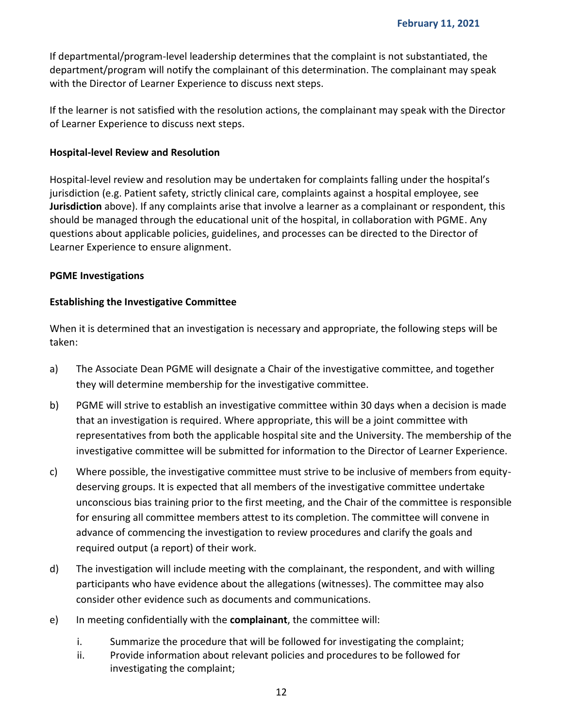If departmental/program-level leadership determines that the complaint is not substantiated, the department/program will notify the complainant of this determination. The complainant may speak with the Director of Learner Experience to discuss next steps.

If the learner is not satisfied with the resolution actions, the complainant may speak with the Director of Learner Experience to discuss next steps.

#### <span id="page-11-0"></span>**Hospital-level Review and Resolution**

Hospital-level review and resolution may be undertaken for complaints falling under the hospital's jurisdiction (e.g. Patient safety, strictly clinical care, complaints against a hospital employee, see **Jurisdiction** above). If any complaints arise that involve a learner as a complainant or respondent, this should be managed through the educational unit of the hospital, in collaboration with PGME. Any questions about applicable policies, guidelines, and processes can be directed to the Director of Learner Experience to ensure alignment.

#### <span id="page-11-1"></span>**PGME Investigations**

#### **Establishing the Investigative Committee**

When it is determined that an investigation is necessary and appropriate, the following steps will be taken:

- a) The Associate Dean PGME will designate a Chair of the investigative committee, and together they will determine membership for the investigative committee.
- b) PGME will strive to establish an investigative committee within 30 days when a decision is made that an investigation is required. Where appropriate, this will be a joint committee with representatives from both the applicable hospital site and the University. The membership of the investigative committee will be submitted for information to the Director of Learner Experience.
- c) Where possible, the investigative committee must strive to be inclusive of members from equitydeserving groups. It is expected that all members of the investigative committee undertake unconscious bias training prior to the first meeting, and the Chair of the committee is responsible for ensuring all committee members attest to its completion. The committee will convene in advance of commencing the investigation to review procedures and clarify the goals and required output (a report) of their work.
- d) The investigation will include meeting with the complainant, the respondent, and with willing participants who have evidence about the allegations (witnesses). The committee may also consider other evidence such as documents and communications.
- e) In meeting confidentially with the **complainant**, the committee will:
	- i. Summarize the procedure that will be followed for investigating the complaint;
	- ii. Provide information about relevant policies and procedures to be followed for investigating the complaint;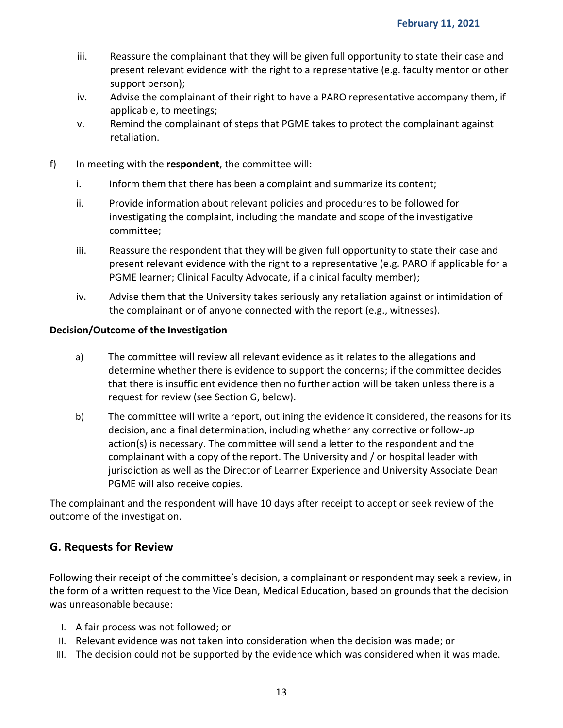- iii. Reassure the complainant that they will be given full opportunity to state their case and present relevant evidence with the right to a representative (e.g. faculty mentor or other support person);
- iv. Advise the complainant of their right to have a PARO representative accompany them, if applicable, to meetings;
- v. Remind the complainant of steps that PGME takes to protect the complainant against retaliation.
- f) In meeting with the **respondent**, the committee will:
	- i. Inform them that there has been a complaint and summarize its content;
	- ii. Provide information about relevant policies and procedures to be followed for investigating the complaint, including the mandate and scope of the investigative committee;
	- iii. Reassure the respondent that they will be given full opportunity to state their case and present relevant evidence with the right to a representative (e.g. PARO if applicable for a PGME learner; Clinical Faculty Advocate, if a clinical faculty member);
	- iv. Advise them that the University takes seriously any retaliation against or intimidation of the complainant or of anyone connected with the report (e.g., witnesses).

#### **Decision/Outcome of the Investigation**

- a) The committee will review all relevant evidence as it relates to the allegations and determine whether there is evidence to support the concerns; if the committee decides that there is insufficient evidence then no further action will be taken unless there is a request for review (see Section G, below).
- b) The committee will write a report, outlining the evidence it considered, the reasons for its decision, and a final determination, including whether any corrective or follow-up action(s) is necessary. The committee will send a letter to the respondent and the complainant with a copy of the report. The University and / or hospital leader with jurisdiction as well as the Director of Learner Experience and University Associate Dean PGME will also receive copies.

The complainant and the respondent will have 10 days after receipt to accept or seek review of the outcome of the investigation.

### <span id="page-12-0"></span>**G. Requests for Review**

Following their receipt of the committee's decision, a complainant or respondent may seek a review, in the form of a written request to the Vice Dean, Medical Education, based on grounds that the decision was unreasonable because:

- I. A fair process was not followed; or
- II. Relevant evidence was not taken into consideration when the decision was made; or
- III. The decision could not be supported by the evidence which was considered when it was made.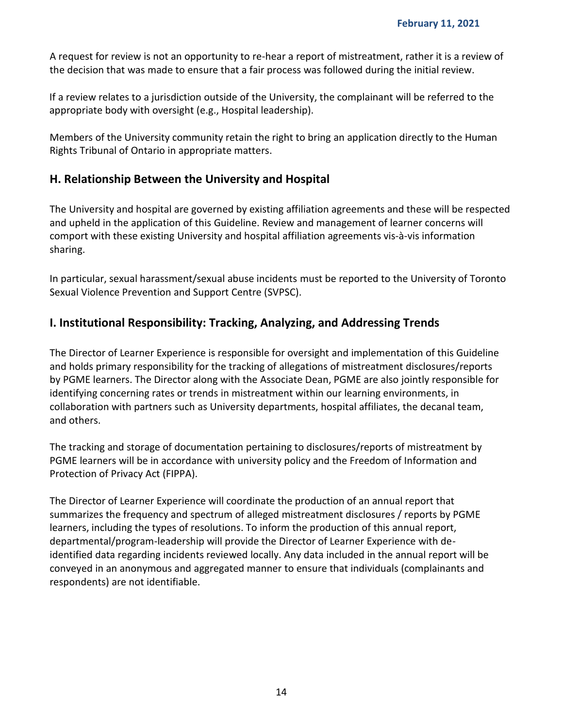A request for review is not an opportunity to re-hear a report of mistreatment, rather it is a review of the decision that was made to ensure that a fair process was followed during the initial review.

If a review relates to a jurisdiction outside of the University, the complainant will be referred to the appropriate body with oversight (e.g., Hospital leadership).

Members of the University community retain the right to bring an application directly to the Human Rights Tribunal of Ontario in appropriate matters.

### <span id="page-13-0"></span>**H. Relationship Between the University and Hospital**

The University and hospital are governed by existing affiliation agreements and these will be respected and upheld in the application of this Guideline. Review and management of learner concerns will comport with these existing University and hospital affiliation agreements vis-à-vis information sharing.

In particular, sexual harassment/sexual abuse incidents must be reported to the University of Toronto Sexual Violence Prevention and Support Centre (SVPSC).

## <span id="page-13-1"></span>**I. Institutional Responsibility: Tracking, Analyzing, and Addressing Trends**

The Director of Learner Experience is responsible for oversight and implementation of this Guideline and holds primary responsibility for the tracking of allegations of mistreatment disclosures/reports by PGME learners. The Director along with the Associate Dean, PGME are also jointly responsible for identifying concerning rates or trends in mistreatment within our learning environments, in collaboration with partners such as University departments, hospital affiliates, the decanal team, and others.

The tracking and storage of documentation pertaining to disclosures/reports of mistreatment by PGME learners will be in accordance with university policy and the Freedom of Information and Protection of Privacy Act (FIPPA).

The Director of Learner Experience will coordinate the production of an annual report that summarizes the frequency and spectrum of alleged mistreatment disclosures / reports by PGME learners, including the types of resolutions. To inform the production of this annual report, departmental/program-leadership will provide the Director of Learner Experience with deidentified data regarding incidents reviewed locally. Any data included in the annual report will be conveyed in an anonymous and aggregated manner to ensure that individuals (complainants and respondents) are not identifiable.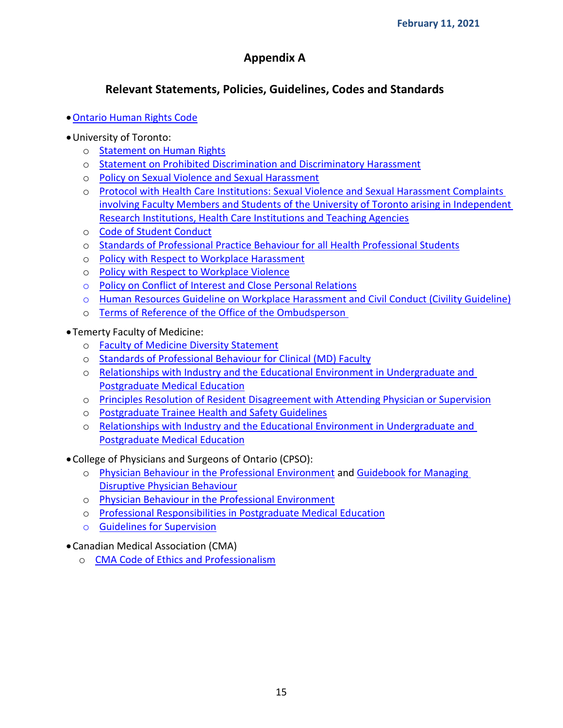## **Appendix A**

## **Relevant Statements, Policies, Guidelines, Codes and Standards**

- [Ontario Human Rights Code](http://www.e-laws.gov.on.ca/html/statutes/english/elaws_statutes_90h19_e.htm)
- University of Toronto:
	- o [Statement on Human Rights](http://www.governingcouncil.utoronto.ca/policies/hrights.htm)
	- o [Statement on Prohibited Discrimination and Discriminatory Harassment](http://www.md.utoronto.ca/policies?title=Statement%20on%20prohibited%20discrimination%20and%20discriminatory%20harassment%20%28U%20of%20T%29&field_policy_type_tid=All&sort_by=title&sort_order=ASC)
	- o [Policy on Sexual Violence and Sexual Harassment](http://www.ombudsperson.utoronto.ca/resources/sexualviolenceandharassmentpolicy2017.pdf)
	- o [Protocol with Health Care Institutions: Sexual Violence and Sexual Harassment Complaints](https://medicine.utoronto.ca/research/sexual-harassment-complaints-involving-faculty-and-students-university-toronto-arising)  [involving Faculty Members and Students of the University of Toronto arising in Independent](https://medicine.utoronto.ca/research/sexual-harassment-complaints-involving-faculty-and-students-university-toronto-arising)  [Research Institutions, Health Care Institutions and Teaching Agencies](https://medicine.utoronto.ca/research/sexual-harassment-complaints-involving-faculty-and-students-university-toronto-arising)
	- o [Code of Student Conduct](http://www.md.utoronto.ca/policies?title=Code+of+student+conduct&field_policy_type_tid=All&sort_by=title&sort_order=ASC)
	- o [Standards of Professional Practice Behaviour for all Health Professional Students](http://www.governingcouncil.utoronto.ca/Assets/Governing+Council+Digital+Assets/Policies/PDF/ppsep012008i.pdf)
	- o [Policy with Respect to Workplace Harassment](http://www.governingcouncil.utoronto.ca/policies/harassment.htm)
	- o [Policy with Respect to Workplace Violence](http://www.governingcouncil.utoronto.ca/Assets/Governing+Council+Digital+Assets/Policies/PDF/violence.pdf)
	- o [Policy on Conflict of Interest and Close Personal Relations](https://www.provost.utoronto.ca/planning-policy/conflict-of-interest-close-personal-relations/#section_2)
	- o [Human Resources Guideline on Workplace Harassment and Civil Conduct \(Civility Guideline\)](https://hrandequity.utoronto.ca/wp-content/uploads/sites/34/2016/09/Human-Resources-Guideline-on-Workplace-Harassment-and-Civil-Conduct-Civ....pdf)
	- o [Terms of Reference of the Office of the Ombudsperson](https://governingcouncil.utoronto.ca/sites/default/files/2020-03/ombudsperson%2C%20terms%20of%20reference%20for%20the%20office%20of%20the.pdf)
- Temerty Faculty of Medicine:
	- o [Faculty of Medicine Diversity Statement](https://medicine.utoronto.ca/faculty-medicine-diversity-statement)
	- o [Standards of Professional Behaviour for Clinical \(MD\) Faculty](https://medicine.utoronto.ca/sites/default/files/standardsofprofessionalbehaviourformedicalclinicalfaculty-05132020.pdf)
	- o [Relationships with Industry and the Educational Environment in Undergraduate and](https://medicine.utoronto.ca/sites/default/files/Relations%20with%20Industry.pdf)  [Postgraduate Medical Education](https://medicine.utoronto.ca/sites/default/files/Relations%20with%20Industry.pdf)
	- o [Principles Resolution of Resident Disagreement with Attending Physician or Supervision](https://pg.postmd.utoronto.ca/wp-content/uploads/2016/06/ResolutionResidentDisagreementAttendingPhysicianSupervisor.pdf)
	- o [Postgraduate Trainee Health and Safety Guidelines](https://pg.postmd.utoronto.ca/wp-content/uploads/2018/01/PG-Trainee-Health-Safety-Guidelines-final-December-2017.pdf)
	- o [Relationships with Industry and the Educational Environment in Undergraduate and](https://pg.postmd.utoronto.ca/wp-content/uploads/2019/04/RelationsIndustryMDEducation2019.pdf)  [Postgraduate Medical Education](https://pg.postmd.utoronto.ca/wp-content/uploads/2019/04/RelationsIndustryMDEducation2019.pdf)
- College of Physicians and Surgeons of Ontario (CPSO):
	- o [Physician Behaviour in the Professional Environment](https://www.cpso.on.ca/Physicians/Policies-Guidance/Policies/Physician-Behaviour-in-the-Professional-Environmen) and [Guidebook for Managing](http://www.docsmbwellness.org/wp-content/uploads/2014/08/Disruptive_Behaviour_GuidebookCPSO.pdf)  [Disruptive Physician Behaviour](http://www.docsmbwellness.org/wp-content/uploads/2014/08/Disruptive_Behaviour_GuidebookCPSO.pdf)
	- o [Physician Behaviour in the Professional Environment](http://www.cpso.on.ca/uploadedFiles/policies/policies/policyitems/behaviour.pdf)
	- o [Professional Responsibilities in Postgraduate Medical Education](https://www.cpso.on.ca/Physicians/Policies-Guidance/Policies/Professional-Responsibilities-in-Medical-Education)
	- o [Guidelines for Supervision](https://pg.postmd.utoronto.ca/wp-content/uploads/2016/06/SupervisionCPSOGuidelines.pdf)
- Canadian Medical Association (CMA)
	- o [CMA Code of Ethics and Professionalism](https://cma.cmail20.com/t/j-l-phjhyly-jhpllkdii-r/)